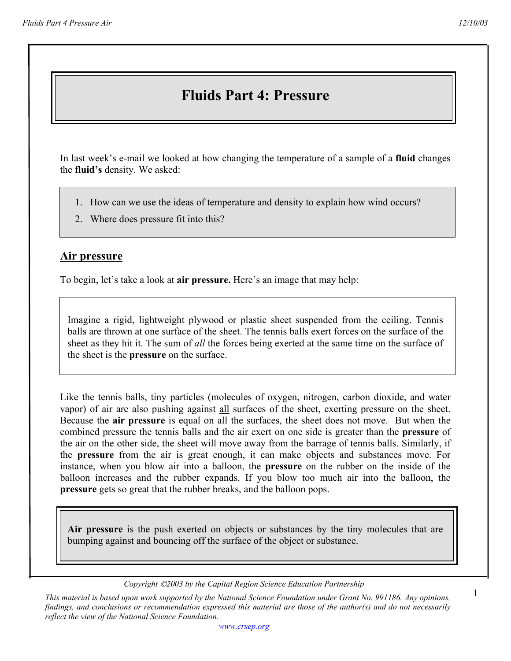# **Fluids Part 4: Pressure**

In last week's e-mail we looked at how changing the temperature of a sample of a **fluid** changes the **fluid's** density. We asked:

- 1. How can we use the ideas of temperature and density to explain how wind occurs?
- 2. Where does pressure fit into this?

### **Air pressure**

To begin, let's take a look at **air pressure.** Here's an image that may help:

Imagine a rigid, lightweight plywood or plastic sheet suspended from the ceiling. Tennis balls are thrown at one surface of the sheet. The tennis balls exert forces on the surface of the sheet as they hit it. The sum of *all* the forces being exerted at the same time on the surface of the sheet is the **pressure** on the surface.

Like the tennis balls, tiny particles (molecules of oxygen, nitrogen, carbon dioxide, and water vapor) of air are also pushing against all surfaces of the sheet, exerting pressure on the sheet. Because the **air pressure** is equal on all the surfaces, the sheet does not move. But when the combined pressure the tennis balls and the air exert on one side is greater than the **pressure** of the air on the other side, the sheet will move away from the barrage of tennis balls. Similarly, if the **pressure** from the air is great enough, it can make objects and substances move. For instance, when you blow air into a balloon, the **pressure** on the rubber on the inside of the balloon increases and the rubber expands. If you blow too much air into the balloon, the **pressure** gets so great that the rubber breaks, and the balloon pops.

**Air pressure** is the push exerted on objects or substances by the tiny molecules that are bumping against and bouncing off the surface of the object or substance.

1

*Copyright 2003 by the Capital Region Science Education Partnership* 

*This material is based upon work supported by the National Science Foundation under Grant No. 991186. Any opinions, findings, and conclusions or recommendation expressed this material are those of the author(s) and do not necessarily reflect the view of the National Science Foundation.*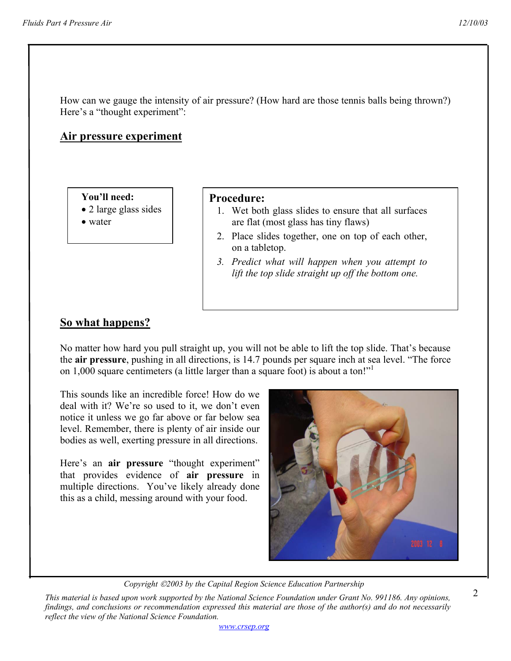How can we gauge the intensity of air pressure? (How hard are those tennis balls being thrown?) Here's a "thought experiment":

### **Air pressure experiment**

**You'll need:** 

- 2 large glass sides
- water

#### **Procedure:**

- 1. Wet both glass slides to ensure that all surfaces are flat (most glass has tiny flaws)
- 2. Place slides together, one on top of each other, on a tabletop.
- *3. Predict what will happen when you attempt to lift the top slide straight up off the bottom one.*

# **So what happens?**

No matter how hard you pull straight up, you will not be able to lift the top slide. That's because the **air pressure**, pushing in all directions, is 14.7 pounds per square inch at sea level. "The force on 1,000 square centimeters (a little larger than a square foot) is about a ton!"<sup>1</sup>

This sounds like an incredible force! How do we deal with it? We're so used to it, we don't even notice it unless we go far above or far below sea level. Remember, there is plenty of air inside our bodies as well, exerting pressure in all directions.

Here's an **air pressure** "thought experiment" that provides evidence of **air pressure** in multiple directions. You've likely already done this as a child, messing around with your food.



*Copyright 2003 by the Capital Region Science Education Partnership* 

*www.crsep.org*

*This material is based upon work supported by the National Science Foundation under Grant No. 991186. Any opinions, findings, and conclusions or recommendation expressed this material are those of the author(s) and do not necessarily reflect the view of the National Science Foundation.*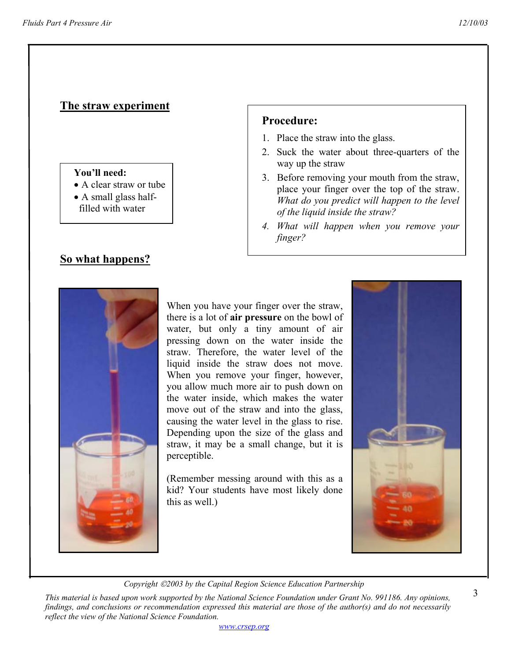# **The straw experiment**

#### **You'll need:**

- A clear straw or tube
- A small glass half filled with water

# **So what happens?**



When you have your finger over the straw, there is a lot of **air pressure** on the bowl of water, but only a tiny amount of air pressing down on the water inside the straw. Therefore, the water level of the liquid inside the straw does not move. When you remove your finger, however, you allow much more air to push down on the water inside, which makes the water move out of the straw and into the glass, causing the water level in the glass to rise. Depending upon the size of the glass and straw, it may be a small change, but it is perceptible.

(Remember messing around with this as a kid? Your students have most likely done this as well.)



*Copyright 2003 by the Capital Region Science Education Partnership* 

*This material is based upon work supported by the National Science Foundation under Grant No. 991186. Any opinions, findings, and conclusions or recommendation expressed this material are those of the author(s) and do not necessarily reflect the view of the National Science Foundation.* 

**Procedure:** 

- 1. Place the straw into the glass.
- 2. Suck the water about three-quarters of the way up the straw
- 3. Before removing your mouth from the straw, place your finger over the top of the straw. *What do you predict will happen to the level of the liquid inside the straw?*
- *4. What will happen when you remove your finger?*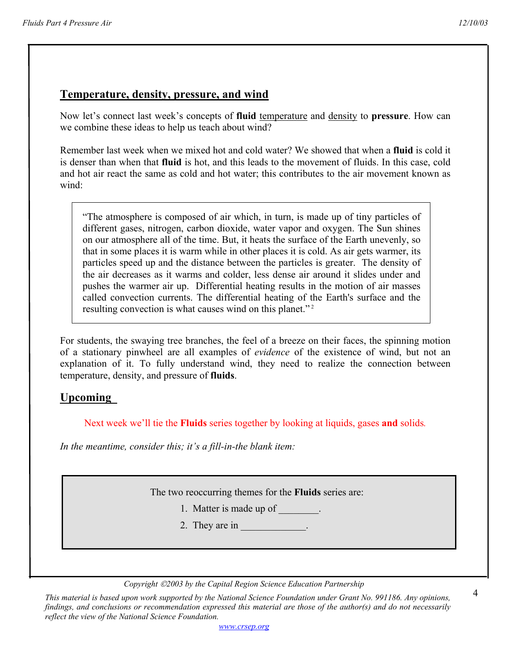### **Temperature, density, pressure, and wind**

Now let's connect last week's concepts of **fluid** temperature and density to **pressure**. How can we combine these ideas to help us teach about wind?

Remember last week when we mixed hot and cold water? We showed that when a **fluid** is cold it is denser than when that **fluid** is hot, and this leads to the movement of fluids. In this case, cold and hot air react the same as cold and hot water; this contributes to the air movement known as wind:

"The atmosphere is composed of air which, in turn, is made up of tiny particles of different gases, nitrogen, carbon dioxide, water vapor and oxygen. The Sun shines on our atmosphere all of the time. But, it heats the surface of the Earth unevenly, so that in some places it is warm while in other places it is cold. As air gets warmer, its particles speed up and the distance between the particles is greater. The density of the air decreases as it warms and colder, less dense air around it slides under and pushes the warmer air up. Differential heating results in the motion of air masses called convection currents. The differential heating of the Earth's surface and the resulting convection is what causes wind on this planet."<sup>2</sup>

For students, the swaying tree branches, the feel of a breeze on their faces, the spinning motion of a stationary pinwheel are all examples of *evidence* of the existence of wind, but not an explanation of it. To fully understand wind, they need to realize the connection between temperature, density, and pressure of **fluids**.

### **Upcoming**

Next week we'll tie the **Fluids** series together by looking at liquids, gases **and** solids*.* 

*In the meantime, consider this; it's a fill-in-the blank item:* 

The two reoccurring themes for the **Fluids** series are:

- 1. Matter is made up of \_\_\_\_\_\_\_.
- 2. They are in

*Copyright 2003 by the Capital Region Science Education Partnership* 

*This material is based upon work supported by the National Science Foundation under Grant No. 991186. Any opinions, findings, and conclusions or recommendation expressed this material are those of the author(s) and do not necessarily reflect the view of the National Science Foundation.* 

*www.crsep.org*